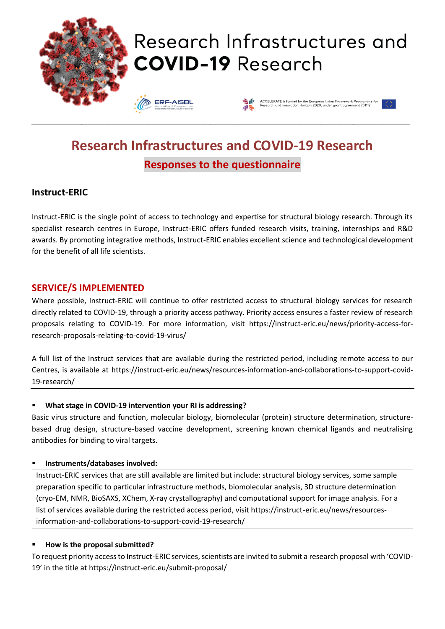

# **Research Infrastructures and COVID-19 Research Responses to the questionnaire**

## **Instruct-ERIC**

Instruct-ERIC is the single point of access to technology and expertise for structural biology research. Through its specialist research centres in Europe, Instruct-ERIC offers funded research visits, training, internships and R&D awards. By promoting integrative methods, Instruct-ERIC enables excellent science and technological development for the benefit of all life scientists.

## **SERVICE/S IMPLEMENTED**

Where possible, Instruct-ERIC will continue to offer restricted access to structural biology services for research directly related to COVID-19, through a priority access pathway. Priority access ensures a faster review of research proposals relating to COVID-19. For more information, visit https://instruct-eric.eu/news/priority-access-forresearch-proposals-relating-to-covid-19-virus/

A full list of the Instruct services that are available during the restricted period, including remote access to our Centres, is available at https://instruct-eric.eu/news/resources-information-and-collaborations-to-support-covid-19-research/

#### ▪ **What stage in COVID-19 intervention your RI is addressing?**

Basic virus structure and function, molecular biology, biomolecular (protein) structure determination, structurebased drug design, structure-based vaccine development, screening known chemical ligands and neutralising antibodies for binding to viral targets.

#### ▪ **Instruments/databases involved:**

Instruct-ERIC services that are still available are limited but include: structural biology services, some sample preparation specific to particular infrastructure methods, biomolecular analysis, 3D structure determination (cryo-EM, NMR, BioSAXS, XChem, X-ray crystallography) and computational support for image analysis. For a list of services available during the restricted access period, visit https://instruct-eric.eu/news/resourcesinformation-and-collaborations-to-support-covid-19-research/

#### ▪ **How is the proposal submitted?**

To request priority access to Instruct-ERIC services, scientists are invited to submit a research proposal with 'COVID-19' in the title at https://instruct-eric.eu/submit-proposal/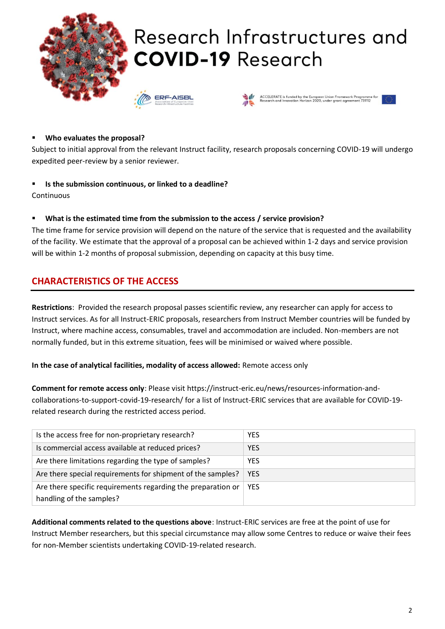

#### ▪ **Who evaluates the proposal?**

Subject to initial approval from the relevant Instruct facility, research proposals concerning COVID-19 will undergo expedited peer-review by a senior reviewer.

▪ **Is the submission continuous, or linked to a deadline?**

**Continuous** 

What is the estimated time from the submission to the access / service provision?

The time frame for service provision will depend on the nature of the service that is requested and the availability of the facility. We estimate that the approval of a proposal can be achieved within 1-2 days and service provision will be within 1-2 months of proposal submission, depending on capacity at this busy time.

## **CHARACTERISTICS OF THE ACCESS**

**Restrictions**: Provided the research proposal passes scientific review, any researcher can apply for access to Instruct services. As for all Instruct-ERIC proposals, researchers from Instruct Member countries will be funded by Instruct, where machine access, consumables, travel and accommodation are included. Non-members are not normally funded, but in this extreme situation, fees will be minimised or waived where possible.

**In the case of analytical facilities, modality of access allowed:** Remote access only

**Comment for remote access only**: Please visit https://instruct-eric.eu/news/resources-information-andcollaborations-to-support-covid-19-research/ for a list of Instruct-ERIC services that are available for COVID-19 related research during the restricted access period.

| Is the access free for non-proprietary research?             | <b>YES</b> |
|--------------------------------------------------------------|------------|
| Is commercial access available at reduced prices?            | <b>YES</b> |
| Are there limitations regarding the type of samples?         | <b>YES</b> |
| Are there special requirements for shipment of the samples?  | <b>YES</b> |
| Are there specific requirements regarding the preparation or | <b>YES</b> |
| handling of the samples?                                     |            |

**Additional comments related to the questions above**: Instruct-ERIC services are free at the point of use for Instruct Member researchers, but this special circumstance may allow some Centres to reduce or waive their fees for non-Member scientists undertaking COVID-19-related research.